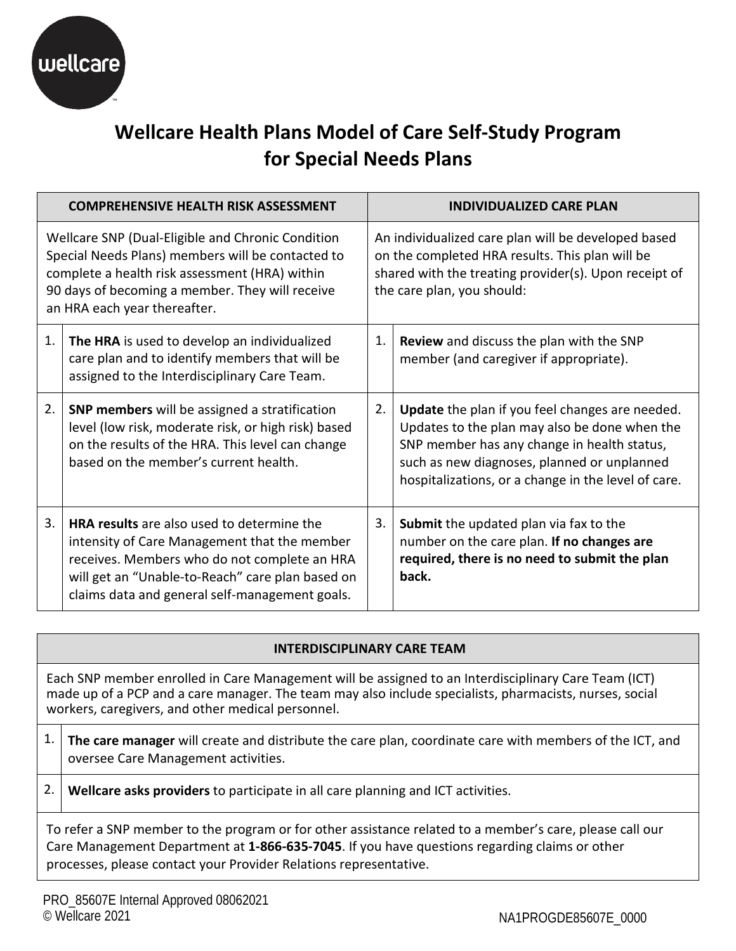

# **Wellcare Health Plans Model of Care Self-Study Program for Special Needs Plans**

|                                                                                                                                                                                                                                             | <b>COMPREHENSIVE HEALTH RISK ASSESSMENT</b>                                                                                                                                                                                                             |                                                                                                                                                                                               | <b>INDIVIDUALIZED CARE PLAN</b>                                                                                                                                                                                                                       |
|---------------------------------------------------------------------------------------------------------------------------------------------------------------------------------------------------------------------------------------------|---------------------------------------------------------------------------------------------------------------------------------------------------------------------------------------------------------------------------------------------------------|-----------------------------------------------------------------------------------------------------------------------------------------------------------------------------------------------|-------------------------------------------------------------------------------------------------------------------------------------------------------------------------------------------------------------------------------------------------------|
| Wellcare SNP (Dual-Eligible and Chronic Condition<br>Special Needs Plans) members will be contacted to<br>complete a health risk assessment (HRA) within<br>90 days of becoming a member. They will receive<br>an HRA each year thereafter. |                                                                                                                                                                                                                                                         | An individualized care plan will be developed based<br>on the completed HRA results. This plan will be<br>shared with the treating provider(s). Upon receipt of<br>the care plan, you should: |                                                                                                                                                                                                                                                       |
| 1.                                                                                                                                                                                                                                          | The HRA is used to develop an individualized<br>care plan and to identify members that will be<br>assigned to the Interdisciplinary Care Team.                                                                                                          | 1.                                                                                                                                                                                            | Review and discuss the plan with the SNP<br>member (and caregiver if appropriate).                                                                                                                                                                    |
| 2.                                                                                                                                                                                                                                          | SNP members will be assigned a stratification<br>level (low risk, moderate risk, or high risk) based<br>on the results of the HRA. This level can change<br>based on the member's current health.                                                       | 2.                                                                                                                                                                                            | Update the plan if you feel changes are needed.<br>Updates to the plan may also be done when the<br>SNP member has any change in health status,<br>such as new diagnoses, planned or unplanned<br>hospitalizations, or a change in the level of care. |
| 3.                                                                                                                                                                                                                                          | <b>HRA results</b> are also used to determine the<br>intensity of Care Management that the member<br>receives. Members who do not complete an HRA<br>will get an "Unable-to-Reach" care plan based on<br>claims data and general self-management goals. | 3.                                                                                                                                                                                            | Submit the updated plan via fax to the<br>number on the care plan. If no changes are<br>required, there is no need to submit the plan<br>back.                                                                                                        |

# **INTERDISCIPLINARY CARE TEAM**

 Each SNP member enrolled in Care Management will be assigned to an Interdisciplinary Care Team (ICT) made up of a PCP and a care manager. The team may also include specialists, pharmacists, nurses, social workers, caregivers, and other medical personnel.

- 1. **The care manager** will create and distribute the care plan, coordinate care with members of the ICT, and oversee Care Management activities.
- 2. **Wellcare asks providers** to participate in all care planning and ICT activities.

 To refer a SNP member to the program or for other assistance related to a member's care, please call our Care Management Department at **1-866-635-7045**. If you have questions regarding claims or other processes, please contact your Provider Relations representative.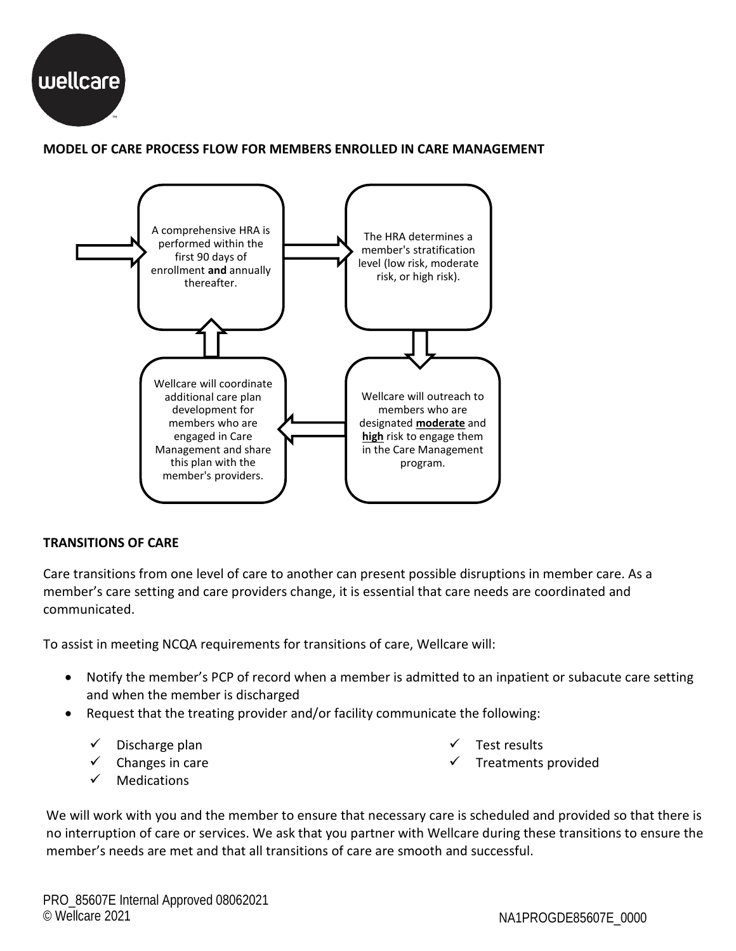

## **MODEL OF CARE PROCESS FLOW FOR MEMBERS ENROLLED IN CARE MANAGEMENT**



#### **TRANSITIONS OF CARE**

 Care transitions from one level of care to another can present possible disruptions in member care. As a member's care setting and care providers change, it is essential that care needs are coordinated and communicated.

To assist in meeting NCQA requirements for transitions of care, Wellcare will:

- Notify the member's PCP of record when a member is admitted to an inpatient or subacute care setting and when the member is discharged
- Request that the treating provider and/or facility communicate the following:
	- $\checkmark$  Discharge plan
	- $\checkmark$  Changes in care
	- $\checkmark$  Medications
- Test results
- $\checkmark$  Treatments provided

 member's needs are met and that all transitions of care are smooth and successful. We will work with you and the member to ensure that necessary care is scheduled and provided so that there is no interruption of care or services. We ask that you partner with Wellcare during these transitions to ensure the